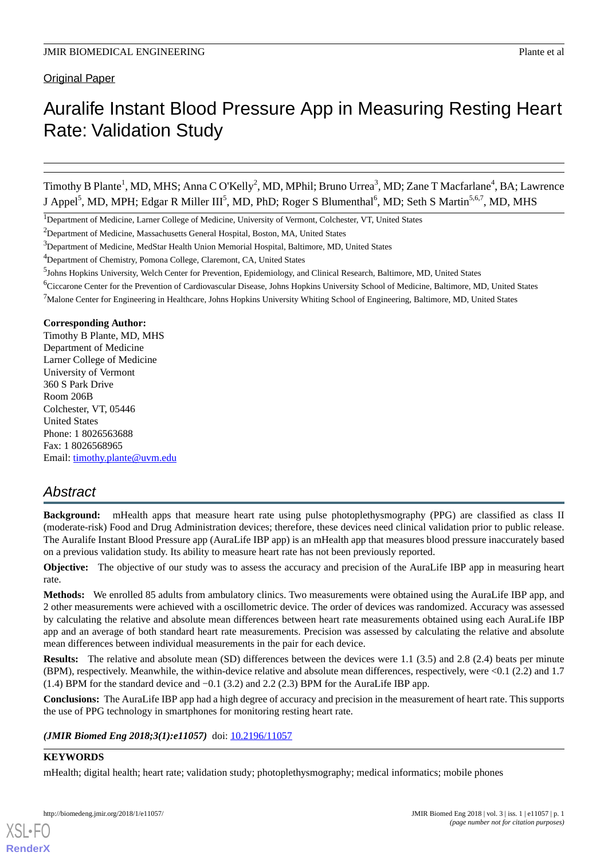# Auralife Instant Blood Pressure App in Measuring Resting Heart Rate: Validation Study

Timothy B Plante<sup>1</sup>, MD, MHS; Anna C O'Kelly<sup>2</sup>, MD, MPhil; Bruno Urrea<sup>3</sup>, MD; Zane T Macfarlane<sup>4</sup>, BA; Lawrence J Appel<sup>5</sup>, MD, MPH; Edgar R Miller III<sup>5</sup>, MD, PhD; Roger S Blumenthal<sup>6</sup>, MD; Seth S Martin<sup>5,6,7</sup>, MD, MHS

#### **Corresponding Author:**

Timothy B Plante, MD, MHS Department of Medicine Larner College of Medicine University of Vermont 360 S Park Drive Room 206B Colchester, VT, 05446 United States Phone: 1 8026563688 Fax: 1 8026568965 Email: [timothy.plante@uvm.edu](mailto:timothy.plante@uvm.edu)

# *Abstract*

**Background:** mHealth apps that measure heart rate using pulse photoplethysmography (PPG) are classified as class II (moderate-risk) Food and Drug Administration devices; therefore, these devices need clinical validation prior to public release. The Auralife Instant Blood Pressure app (AuraLife IBP app) is an mHealth app that measures blood pressure inaccurately based on a previous validation study. Its ability to measure heart rate has not been previously reported.

**Objective:** The objective of our study was to assess the accuracy and precision of the AuraLife IBP app in measuring heart rate.

**Methods:** We enrolled 85 adults from ambulatory clinics. Two measurements were obtained using the AuraLife IBP app, and 2 other measurements were achieved with a oscillometric device. The order of devices was randomized. Accuracy was assessed by calculating the relative and absolute mean differences between heart rate measurements obtained using each AuraLife IBP app and an average of both standard heart rate measurements. Precision was assessed by calculating the relative and absolute mean differences between individual measurements in the pair for each device.

**Results:** The relative and absolute mean (SD) differences between the devices were 1.1 (3.5) and 2.8 (2.4) beats per minute (BPM), respectively. Meanwhile, the within-device relative and absolute mean differences, respectively, were <0.1 (2.2) and 1.7 (1.4) BPM for the standard device and −0.1 (3.2) and 2.2 (2.3) BPM for the AuraLife IBP app.

**Conclusions:** The AuraLife IBP app had a high degree of accuracy and precision in the measurement of heart rate. This supports the use of PPG technology in smartphones for monitoring resting heart rate.

#### *(JMIR Biomed Eng 2018;3(1):e11057)* doi:  $10.2196/11057$

# **KEYWORDS**

[XSL](http://www.w3.org/Style/XSL)•FO **[RenderX](http://www.renderx.com/)**

mHealth; digital health; heart rate; validation study; photoplethysmography; medical informatics; mobile phones

<sup>&</sup>lt;sup>1</sup>Department of Medicine, Larner College of Medicine, University of Vermont, Colchester, VT, United States

<sup>&</sup>lt;sup>2</sup>Department of Medicine, Massachusetts General Hospital, Boston, MA, United States

 $3$ Department of Medicine, MedStar Health Union Memorial Hospital, Baltimore, MD, United States

<sup>&</sup>lt;sup>4</sup>Department of Chemistry, Pomona College, Claremont, CA, United States

<sup>5</sup> Johns Hopkins University, Welch Center for Prevention, Epidemiology, and Clinical Research, Baltimore, MD, United States

<sup>6</sup>Ciccarone Center for the Prevention of Cardiovascular Disease, Johns Hopkins University School of Medicine, Baltimore, MD, United States

 $<sup>7</sup>$ Malone Center for Engineering in Healthcare, Johns Hopkins University Whiting School of Engineering, Baltimore, MD, United States</sup>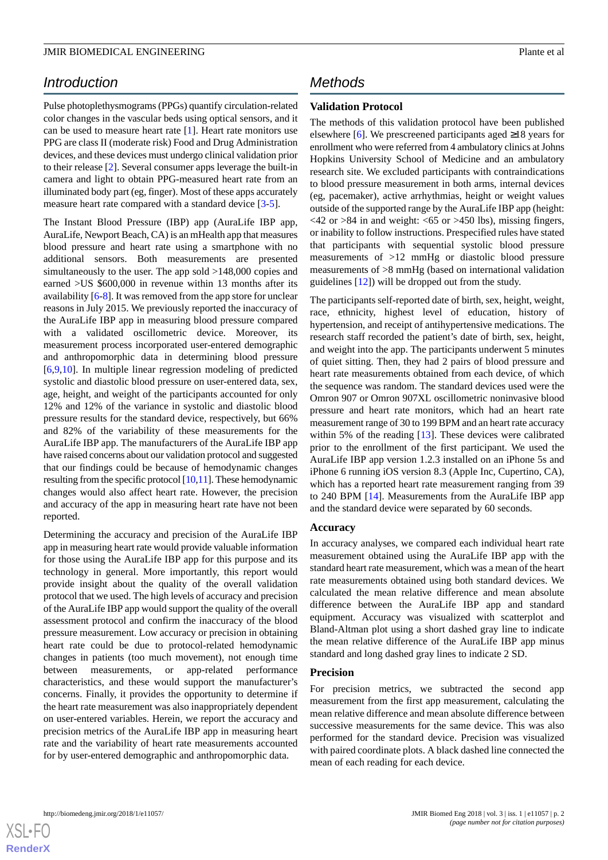# *Introduction*

Pulse photoplethysmograms (PPGs) quantify circulation-related color changes in the vascular beds using optical sensors, and it can be used to measure heart rate [\[1](#page-6-0)]. Heart rate monitors use PPG are class II (moderate risk) Food and Drug Administration devices, and these devices must undergo clinical validation prior to their release [\[2](#page-6-1)]. Several consumer apps leverage the built-in camera and light to obtain PPG-measured heart rate from an illuminated body part (eg, finger). Most of these apps accurately measure heart rate compared with a standard device [[3](#page-6-2)-[5\]](#page-6-3).

The Instant Blood Pressure (IBP) app (AuraLife IBP app, AuraLife, Newport Beach, CA) is an mHealth app that measures blood pressure and heart rate using a smartphone with no additional sensors. Both measurements are presented simultaneously to the user. The app sold >148,000 copies and earned >US \$600,000 in revenue within 13 months after its availability [\[6](#page-6-4)-[8\]](#page-6-5). It was removed from the app store for unclear reasons in July 2015. We previously reported the inaccuracy of the AuraLife IBP app in measuring blood pressure compared with a validated oscillometric device. Moreover, its measurement process incorporated user-entered demographic and anthropomorphic data in determining blood pressure [[6](#page-6-4)[,9](#page-7-0),[10\]](#page-7-1). In multiple linear regression modeling of predicted systolic and diastolic blood pressure on user-entered data, sex, age, height, and weight of the participants accounted for only 12% and 12% of the variance in systolic and diastolic blood pressure results for the standard device, respectively, but 66% and 82% of the variability of these measurements for the AuraLife IBP app. The manufacturers of the AuraLife IBP app have raised concerns about our validation protocol and suggested that our findings could be because of hemodynamic changes resulting from the specific protocol [[10,](#page-7-1)[11\]](#page-7-2). These hemodynamic changes would also affect heart rate. However, the precision and accuracy of the app in measuring heart rate have not been reported.

Determining the accuracy and precision of the AuraLife IBP app in measuring heart rate would provide valuable information for those using the AuraLife IBP app for this purpose and its technology in general. More importantly, this report would provide insight about the quality of the overall validation protocol that we used. The high levels of accuracy and precision of the AuraLife IBP app would support the quality of the overall assessment protocol and confirm the inaccuracy of the blood pressure measurement. Low accuracy or precision in obtaining heart rate could be due to protocol-related hemodynamic changes in patients (too much movement), not enough time between measurements, or app-related performance characteristics, and these would support the manufacturer's concerns. Finally, it provides the opportunity to determine if the heart rate measurement was also inappropriately dependent on user-entered variables. Herein, we report the accuracy and precision metrics of the AuraLife IBP app in measuring heart rate and the variability of heart rate measurements accounted for by user-entered demographic and anthropomorphic data.

# *Methods*

# **Validation Protocol**

The methods of this validation protocol have been published elsewhere [\[6](#page-6-4)]. We prescreened participants aged  $\geq 18$  years for enrollment who were referred from 4 ambulatory clinics at Johns Hopkins University School of Medicine and an ambulatory research site. We excluded participants with contraindications to blood pressure measurement in both arms, internal devices (eg, pacemaker), active arrhythmias, height or weight values outside of the supported range by the AuraLife IBP app (height:  $\langle 42 \text{ or } 84 \text{ in and weight: } \langle 65 \text{ or } 9450 \text{ lbs} \rangle$ , missing fingers, or inability to follow instructions. Prespecified rules have stated that participants with sequential systolic blood pressure measurements of >12 mmHg or diastolic blood pressure measurements of >8 mmHg (based on international validation guidelines [[12\]](#page-7-3)) will be dropped out from the study.

The participants self-reported date of birth, sex, height, weight, race, ethnicity, highest level of education, history of hypertension, and receipt of antihypertensive medications. The research staff recorded the patient's date of birth, sex, height, and weight into the app. The participants underwent 5 minutes of quiet sitting. Then, they had 2 pairs of blood pressure and heart rate measurements obtained from each device, of which the sequence was random. The standard devices used were the Omron 907 or Omron 907XL oscillometric noninvasive blood pressure and heart rate monitors, which had an heart rate measurement range of 30 to 199 BPM and an heart rate accuracy within 5% of the reading [[13\]](#page-7-4). These devices were calibrated prior to the enrollment of the first participant. We used the AuraLife IBP app version 1.2.3 installed on an iPhone 5s and iPhone 6 running iOS version 8.3 (Apple Inc, Cupertino, CA), which has a reported heart rate measurement ranging from 39 to 240 BPM [[14\]](#page-7-5). Measurements from the AuraLife IBP app and the standard device were separated by 60 seconds.

#### **Accuracy**

In accuracy analyses, we compared each individual heart rate measurement obtained using the AuraLife IBP app with the standard heart rate measurement, which was a mean of the heart rate measurements obtained using both standard devices. We calculated the mean relative difference and mean absolute difference between the AuraLife IBP app and standard equipment. Accuracy was visualized with scatterplot and Bland-Altman plot using a short dashed gray line to indicate the mean relative difference of the AuraLife IBP app minus standard and long dashed gray lines to indicate 2 SD.

#### **Precision**

For precision metrics, we subtracted the second app measurement from the first app measurement, calculating the mean relative difference and mean absolute difference between successive measurements for the same device. This was also performed for the standard device. Precision was visualized with paired coordinate plots. A black dashed line connected the mean of each reading for each device.

[XSL](http://www.w3.org/Style/XSL)•FO **[RenderX](http://www.renderx.com/)**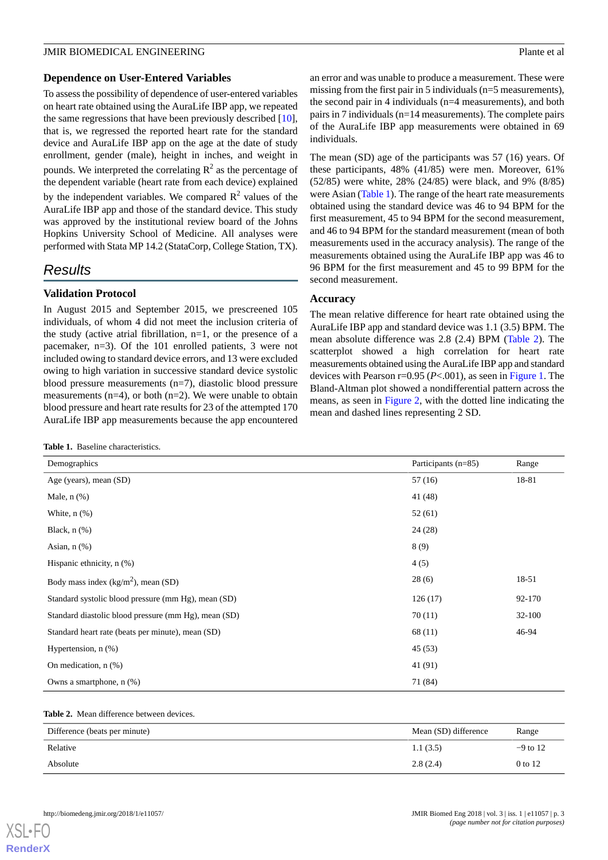#### **Dependence on User-Entered Variables**

To assess the possibility of dependence of user-entered variables on heart rate obtained using the AuraLife IBP app, we repeated the same regressions that have been previously described [[10\]](#page-7-1), that is, we regressed the reported heart rate for the standard device and AuraLife IBP app on the age at the date of study enrollment, gender (male), height in inches, and weight in pounds. We interpreted the correlating  $R^2$  as the percentage of the dependent variable (heart rate from each device) explained by the independent variables. We compared  $\mathbb{R}^2$  values of the AuraLife IBP app and those of the standard device. This study was approved by the institutional review board of the Johns Hopkins University School of Medicine. All analyses were performed with Stata MP 14.2 (StataCorp, College Station, TX).

# *Results*

### **Validation Protocol**

In August 2015 and September 2015, we prescreened 105 individuals, of whom 4 did not meet the inclusion criteria of the study (active atrial fibrillation, n=1, or the presence of a pacemaker, n=3). Of the 101 enrolled patients, 3 were not included owing to standard device errors, and 13 were excluded owing to high variation in successive standard device systolic blood pressure measurements (n=7), diastolic blood pressure measurements  $(n=4)$ , or both  $(n=2)$ . We were unable to obtain blood pressure and heart rate results for 23 of the attempted 170 AuraLife IBP app measurements because the app encountered

<span id="page-2-0"></span>**Table 1.** Baseline characteristics.

an error and was unable to produce a measurement. These were missing from the first pair in 5 individuals (n=5 measurements), the second pair in 4 individuals (n=4 measurements), and both pairs in 7 individuals (n=14 measurements). The complete pairs of the AuraLife IBP app measurements were obtained in 69 individuals.

The mean (SD) age of the participants was 57 (16) years. Of these participants, 48% (41/85) were men. Moreover, 61% (52/85) were white, 28% (24/85) were black, and 9% (8/85) were Asian ([Table 1\)](#page-2-0). The range of the heart rate measurements obtained using the standard device was 46 to 94 BPM for the first measurement, 45 to 94 BPM for the second measurement, and 46 to 94 BPM for the standard measurement (mean of both measurements used in the accuracy analysis). The range of the measurements obtained using the AuraLife IBP app was 46 to 96 BPM for the first measurement and 45 to 99 BPM for the second measurement.

#### **Accuracy**

The mean relative difference for heart rate obtained using the AuraLife IBP app and standard device was 1.1 (3.5) BPM. The mean absolute difference was 2.8 (2.4) BPM ([Table 2\)](#page-2-1). The scatterplot showed a high correlation for heart rate measurements obtained using the AuraLife IBP app and standard devices with Pearson  $r=0.95$  ( $P<0.01$ ), as seen in [Figure 1](#page-3-0). The Bland-Altman plot showed a nondifferential pattern across the means, as seen in [Figure 2,](#page-4-0) with the dotted line indicating the mean and dashed lines representing 2 SD.

| Demographics                                         | Participants (n=85) | Range  |
|------------------------------------------------------|---------------------|--------|
| Age (years), mean (SD)                               | 57 (16)             | 18-81  |
| Male, $n$ $(\%)$                                     | 41 (48)             |        |
| White, $n$ $(\%)$                                    | 52(61)              |        |
| Black, $n$ $(\%)$                                    | 24(28)              |        |
| Asian, $n$ $(\%)$                                    | 8(9)                |        |
| Hispanic ethnicity, $n$ $(\%)$                       | 4(5)                |        |
| Body mass index $(kg/m2)$ , mean (SD)                | 28(6)               | 18-51  |
| Standard systolic blood pressure (mm Hg), mean (SD)  | 126(17)             | 92-170 |
| Standard diastolic blood pressure (mm Hg), mean (SD) | 70(11)              | 32-100 |
| Standard heart rate (beats per minute), mean (SD)    | 68(11)              | 46-94  |
| Hypertension, $n$ $(\%)$                             | 45(53)              |        |
| On medication, $n$ $(\%)$                            | 41 (91)             |        |
| Owns a smartphone, n (%)                             | 71 (84)             |        |

#### <span id="page-2-1"></span>**Table 2.** Mean difference between devices.

| Difference (beats per minute) | Mean (SD) difference | Range      |
|-------------------------------|----------------------|------------|
| Relative                      | 1.1(3.5)             | $-9$ to 12 |
| Absolute                      | 2.8(2.4)             | 0 to 12    |

[XSL](http://www.w3.org/Style/XSL)•FO **[RenderX](http://www.renderx.com/)**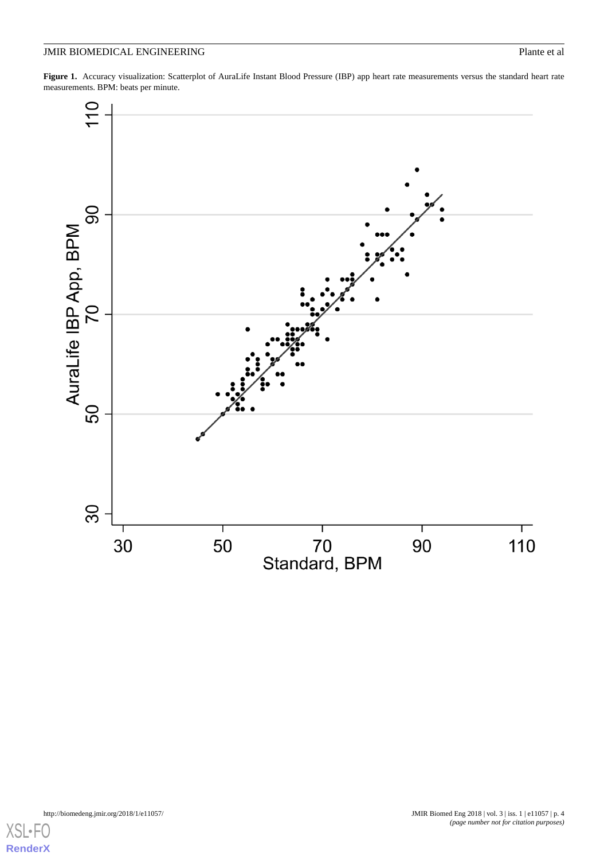<span id="page-3-0"></span>Figure 1. Accuracy visualization: Scatterplot of AuraLife Instant Blood Pressure (IBP) app heart rate measurements versus the standard heart rate measurements. BPM: beats per minute.



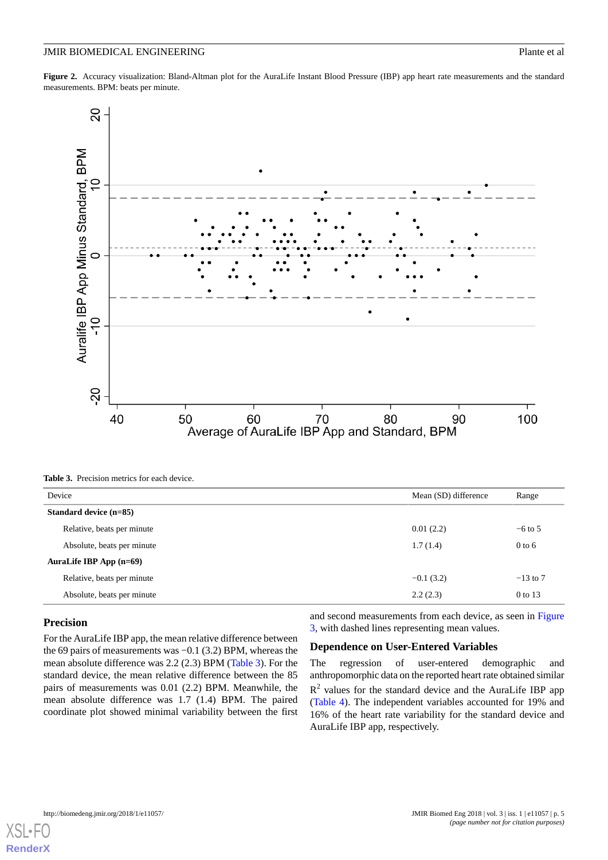<span id="page-4-0"></span>**Figure 2.** Accuracy visualization: Bland-Altman plot for the AuraLife Instant Blood Pressure (IBP) app heart rate measurements and the standard measurements. BPM: beats per minute.



<span id="page-4-1"></span>**Table 3.** Precision metrics for each device.

| Device                     | Mean (SD) difference | Range      |
|----------------------------|----------------------|------------|
| Standard device (n=85)     |                      |            |
| Relative, beats per minute | 0.01(2.2)            | $-6$ to 5  |
| Absolute, beats per minute | 1.7(1.4)             | $0$ to 6   |
| AuraLife IBP App $(n=69)$  |                      |            |
| Relative, beats per minute | $-0.1(3.2)$          | $-13$ to 7 |
| Absolute, beats per minute | 2.2(2.3)             | 0 to 13    |

#### **Precision**

For the AuraLife IBP app, the mean relative difference between the 69 pairs of measurements was −0.1 (3.2) BPM, whereas the mean absolute difference was 2.2 (2.3) BPM ([Table 3](#page-4-1)). For the standard device, the mean relative difference between the 85 pairs of measurements was 0.01 (2.2) BPM. Meanwhile, the mean absolute difference was 1.7 (1.4) BPM. The paired coordinate plot showed minimal variability between the first

and second measurements from each device, as seen in [Figure](#page-5-0) [3,](#page-5-0) with dashed lines representing mean values.

#### **Dependence on User-Entered Variables**

The regression of user-entered demographic and anthropomorphic data on the reported heart rate obtained similar  $R<sup>2</sup>$  values for the standard device and the AuraLife IBP app ([Table 4](#page-5-1)). The independent variables accounted for 19% and 16% of the heart rate variability for the standard device and AuraLife IBP app, respectively.

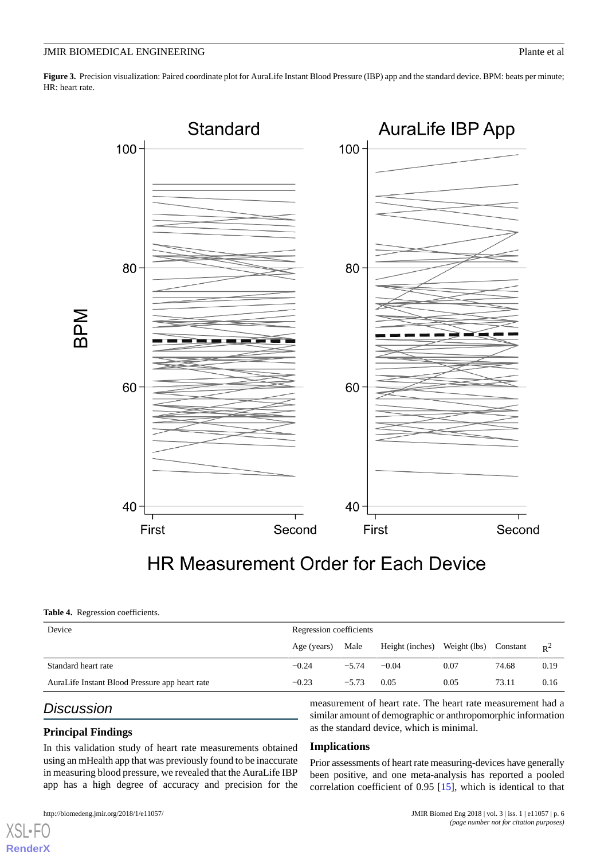<span id="page-5-0"></span>Figure 3. Precision visualization: Paired coordinate plot for AuraLife Instant Blood Pressure (IBP) app and the standard device. BPM: beats per minute; HR: heart rate.



#### <span id="page-5-1"></span>**Table 4.** Regression coefficients.

| Device                                         | Regression coefficients |         |                              |      |          |       |
|------------------------------------------------|-------------------------|---------|------------------------------|------|----------|-------|
|                                                | Age (years)             | Male    | Height (inches) Weight (lbs) |      | Constant | $R^2$ |
| Standard heart rate                            | $-0.24$                 | $-5.74$ | $-0.04$                      | 0.07 | 74.68    | 0.19  |
| AuraLife Instant Blood Pressure app heart rate | $-0.23$                 | $-5.73$ | 0.05                         | 0.05 | 73.11    | 0.16  |

# *Discussion*

 $X$ SL • **[RenderX](http://www.renderx.com/)**

### **Principal Findings**

In this validation study of heart rate measurements obtained using an mHealth app that was previously found to be inaccurate in measuring blood pressure, we revealed that the AuraLife IBP app has a high degree of accuracy and precision for the measurement of heart rate. The heart rate measurement had a similar amount of demographic or anthropomorphic information as the standard device, which is minimal.

#### **Implications**

Prior assessments of heart rate measuring-devices have generally been positive, and one meta-analysis has reported a pooled correlation coefficient of 0.95 [[15\]](#page-7-6), which is identical to that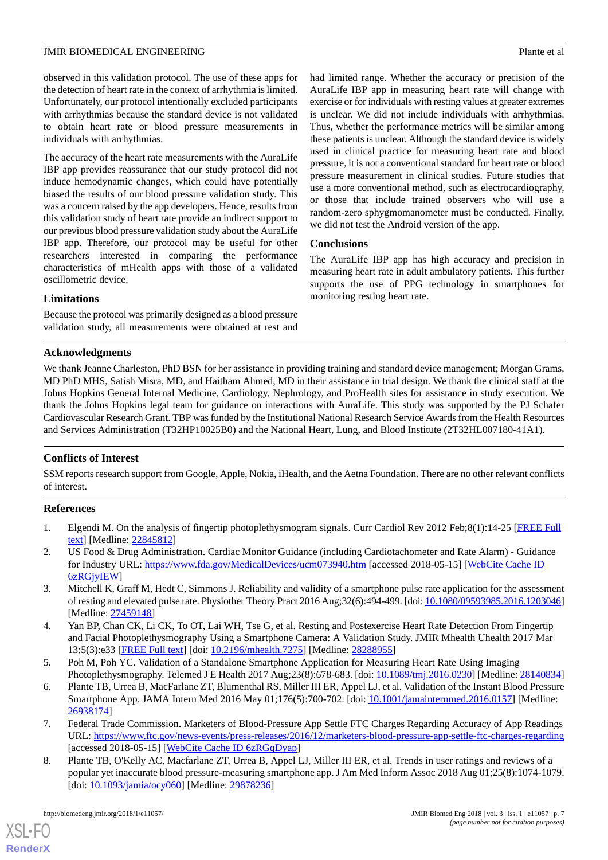observed in this validation protocol. The use of these apps for the detection of heart rate in the context of arrhythmia is limited. Unfortunately, our protocol intentionally excluded participants with arrhythmias because the standard device is not validated to obtain heart rate or blood pressure measurements in individuals with arrhythmias.

The accuracy of the heart rate measurements with the AuraLife IBP app provides reassurance that our study protocol did not induce hemodynamic changes, which could have potentially biased the results of our blood pressure validation study. This was a concern raised by the app developers. Hence, results from this validation study of heart rate provide an indirect support to our previous blood pressure validation study about the AuraLife IBP app. Therefore, our protocol may be useful for other researchers interested in comparing the performance characteristics of mHealth apps with those of a validated oscillometric device.

had limited range. Whether the accuracy or precision of the AuraLife IBP app in measuring heart rate will change with exercise or for individuals with resting values at greater extremes is unclear. We did not include individuals with arrhythmias. Thus, whether the performance metrics will be similar among these patients is unclear. Although the standard device is widely used in clinical practice for measuring heart rate and blood pressure, it is not a conventional standard for heart rate or blood pressure measurement in clinical studies. Future studies that use a more conventional method, such as electrocardiography, or those that include trained observers who will use a random-zero sphygmomanometer must be conducted. Finally, we did not test the Android version of the app.

#### **Conclusions**

The AuraLife IBP app has high accuracy and precision in measuring heart rate in adult ambulatory patients. This further supports the use of PPG technology in smartphones for monitoring resting heart rate.

### **Limitations**

Because the protocol was primarily designed as a blood pressure validation study, all measurements were obtained at rest and

#### **Acknowledgments**

We thank Jeanne Charleston, PhD BSN for her assistance in providing training and standard device management; Morgan Grams, MD PhD MHS, Satish Misra, MD, and Haitham Ahmed, MD in their assistance in trial design. We thank the clinical staff at the Johns Hopkins General Internal Medicine, Cardiology, Nephrology, and ProHealth sites for assistance in study execution. We thank the Johns Hopkins legal team for guidance on interactions with AuraLife. This study was supported by the PJ Schafer Cardiovascular Research Grant. TBP was funded by the Institutional National Research Service Awards from the Health Resources and Services Administration (T32HP10025B0) and the National Heart, Lung, and Blood Institute (2T32HL007180-41A1).

#### **Conflicts of Interest**

<span id="page-6-0"></span>SSM reports research support from Google, Apple, Nokia, iHealth, and the Aetna Foundation. There are no other relevant conflicts of interest.

#### <span id="page-6-1"></span>**References**

- <span id="page-6-2"></span>1. Elgendi M. On the analysis of fingertip photoplethysmogram signals. Curr Cardiol Rev 2012 Feb;8(1):14-25 [\[FREE Full](http://europepmc.org/abstract/MED/22845812) [text](http://europepmc.org/abstract/MED/22845812)] [Medline: [22845812](http://www.ncbi.nlm.nih.gov/entrez/query.fcgi?cmd=Retrieve&db=PubMed&list_uids=22845812&dopt=Abstract)]
- 2. US Food & Drug Administration. Cardiac Monitor Guidance (including Cardiotachometer and Rate Alarm) Guidance for Industry URL: <https://www.fda.gov/MedicalDevices/ucm073940.htm> [accessed 2018-05-15] [[WebCite Cache ID](http://www.webcitation.org/

                                6zRGjyIEW) [6zRGjyIEW](http://www.webcitation.org/

                                6zRGjyIEW)]
- <span id="page-6-3"></span>3. Mitchell K, Graff M, Hedt C, Simmons J. Reliability and validity of a smartphone pulse rate application for the assessment of resting and elevated pulse rate. Physiother Theory Pract 2016 Aug;32(6):494-499. [doi: [10.1080/09593985.2016.1203046\]](http://dx.doi.org/10.1080/09593985.2016.1203046) [Medline: [27459148](http://www.ncbi.nlm.nih.gov/entrez/query.fcgi?cmd=Retrieve&db=PubMed&list_uids=27459148&dopt=Abstract)]
- <span id="page-6-4"></span>4. Yan BP, Chan CK, Li CK, To OT, Lai WH, Tse G, et al. Resting and Postexercise Heart Rate Detection From Fingertip and Facial Photoplethysmography Using a Smartphone Camera: A Validation Study. JMIR Mhealth Uhealth 2017 Mar 13;5(3):e33 [\[FREE Full text](http://mhealth.jmir.org/2017/3/e33/)] [doi: [10.2196/mhealth.7275\]](http://dx.doi.org/10.2196/mhealth.7275) [Medline: [28288955](http://www.ncbi.nlm.nih.gov/entrez/query.fcgi?cmd=Retrieve&db=PubMed&list_uids=28288955&dopt=Abstract)]
- 5. Poh M, Poh YC. Validation of a Standalone Smartphone Application for Measuring Heart Rate Using Imaging Photoplethysmography. Telemed J E Health 2017 Aug; 23(8): 678-683. [doi: 10.1089/tmj. 2016.0230] [Medline: [28140834](http://www.ncbi.nlm.nih.gov/entrez/query.fcgi?cmd=Retrieve&db=PubMed&list_uids=28140834&dopt=Abstract)]
- <span id="page-6-5"></span>6. Plante TB, Urrea B, MacFarlane ZT, Blumenthal RS, Miller III ER, Appel LJ, et al. Validation of the Instant Blood Pressure Smartphone App. JAMA Intern Med 2016 May 01;176(5):700-702. [doi: [10.1001/jamainternmed.2016.0157](http://dx.doi.org/10.1001/jamainternmed.2016.0157)] [Medline: [26938174](http://www.ncbi.nlm.nih.gov/entrez/query.fcgi?cmd=Retrieve&db=PubMed&list_uids=26938174&dopt=Abstract)]
- 7. Federal Trade Commission. Marketers of Blood-Pressure App Settle FTC Charges Regarding Accuracy of App Readings URL: <https://www.ftc.gov/news-events/press-releases/2016/12/marketers-blood-pressure-app-settle-ftc-charges-regarding> [accessed 2018-05-15] [\[WebCite Cache ID 6zRGqDyap\]](http://www.webcitation.org/

                                6zRGqDyap)
- 8. Plante TB, O'Kelly AC, Macfarlane ZT, Urrea B, Appel LJ, Miller III ER, et al. Trends in user ratings and reviews of a popular yet inaccurate blood pressure-measuring smartphone app. J Am Med Inform Assoc 2018 Aug 01;25(8):1074-1079. [doi: [10.1093/jamia/ocy060\]](http://dx.doi.org/10.1093/jamia/ocy060) [Medline: [29878236](http://www.ncbi.nlm.nih.gov/entrez/query.fcgi?cmd=Retrieve&db=PubMed&list_uids=29878236&dopt=Abstract)]

[XSL](http://www.w3.org/Style/XSL)•FO **[RenderX](http://www.renderx.com/)**